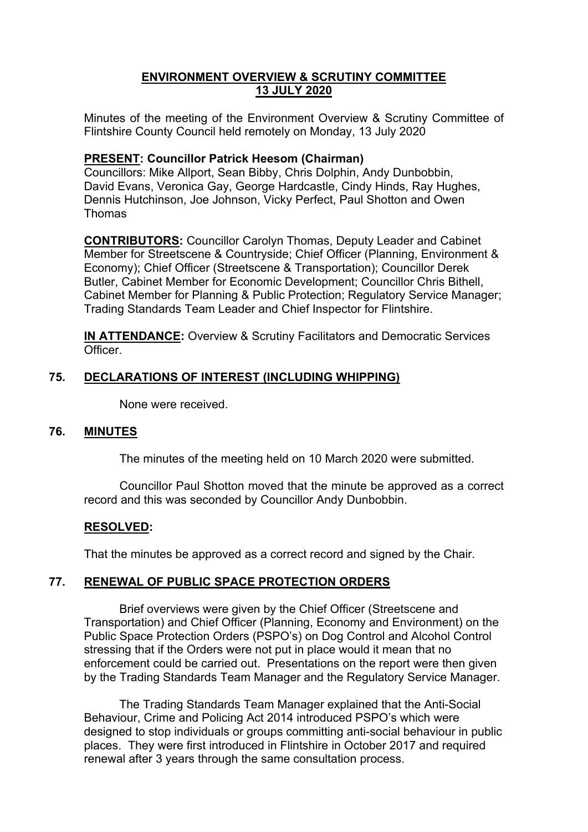### **ENVIRONMENT OVERVIEW & SCRUTINY COMMITTEE 13 JULY 2020**

Minutes of the meeting of the Environment Overview & Scrutiny Committee of Flintshire County Council held remotely on Monday, 13 July 2020

### **PRESENT: Councillor Patrick Heesom (Chairman)**

Councillors: Mike Allport, Sean Bibby, Chris Dolphin, Andy Dunbobbin, David Evans, Veronica Gay, George Hardcastle, Cindy Hinds, Ray Hughes, Dennis Hutchinson, Joe Johnson, Vicky Perfect, Paul Shotton and Owen Thomas

**CONTRIBUTORS:** Councillor Carolyn Thomas, Deputy Leader and Cabinet Member for Streetscene & Countryside; Chief Officer (Planning, Environment & Economy); Chief Officer (Streetscene & Transportation); Councillor Derek Butler, Cabinet Member for Economic Development; Councillor Chris Bithell, Cabinet Member for Planning & Public Protection; Regulatory Service Manager; Trading Standards Team Leader and Chief Inspector for Flintshire.

**IN ATTENDANCE:** Overview & Scrutiny Facilitators and Democratic Services Officer.

# **75. DECLARATIONS OF INTEREST (INCLUDING WHIPPING)**

None were received.

#### **76. MINUTES**

The minutes of the meeting held on 10 March 2020 were submitted.

Councillor Paul Shotton moved that the minute be approved as a correct record and this was seconded by Councillor Andy Dunbobbin.

#### **RESOLVED:**

That the minutes be approved as a correct record and signed by the Chair.

# **77. RENEWAL OF PUBLIC SPACE PROTECTION ORDERS**

Brief overviews were given by the Chief Officer (Streetscene and Transportation) and Chief Officer (Planning, Economy and Environment) on the Public Space Protection Orders (PSPO's) on Dog Control and Alcohol Control stressing that if the Orders were not put in place would it mean that no enforcement could be carried out. Presentations on the report were then given by the Trading Standards Team Manager and the Regulatory Service Manager.

The Trading Standards Team Manager explained that the Anti-Social Behaviour, Crime and Policing Act 2014 introduced PSPO's which were designed to stop individuals or groups committing anti-social behaviour in public places. They were first introduced in Flintshire in October 2017 and required renewal after 3 years through the same consultation process.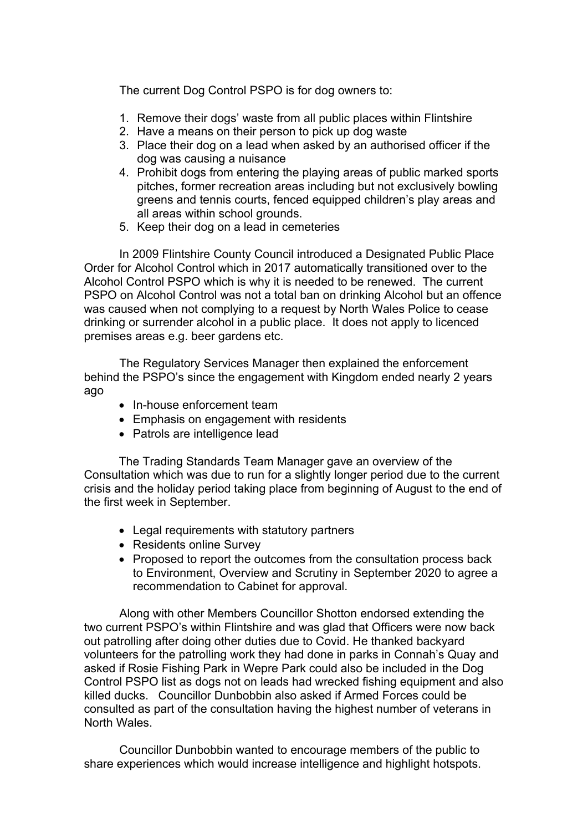The current Dog Control PSPO is for dog owners to:

- 1. Remove their dogs' waste from all public places within Flintshire
- 2. Have a means on their person to pick up dog waste
- 3. Place their dog on a lead when asked by an authorised officer if the dog was causing a nuisance
- 4. Prohibit dogs from entering the playing areas of public marked sports pitches, former recreation areas including but not exclusively bowling greens and tennis courts, fenced equipped children's play areas and all areas within school grounds.
- 5. Keep their dog on a lead in cemeteries

In 2009 Flintshire County Council introduced a Designated Public Place Order for Alcohol Control which in 2017 automatically transitioned over to the Alcohol Control PSPO which is why it is needed to be renewed. The current PSPO on Alcohol Control was not a total ban on drinking Alcohol but an offence was caused when not complying to a request by North Wales Police to cease drinking or surrender alcohol in a public place. It does not apply to licenced premises areas e.g. beer gardens etc.

The Regulatory Services Manager then explained the enforcement behind the PSPO's since the engagement with Kingdom ended nearly 2 years ago

- In-house enforcement team
- Emphasis on engagement with residents
- Patrols are intelligence lead

The Trading Standards Team Manager gave an overview of the Consultation which was due to run for a slightly longer period due to the current crisis and the holiday period taking place from beginning of August to the end of the first week in September.

- Legal requirements with statutory partners
- Residents online Survey
- Proposed to report the outcomes from the consultation process back to Environment, Overview and Scrutiny in September 2020 to agree a recommendation to Cabinet for approval.

Along with other Members Councillor Shotton endorsed extending the two current PSPO's within Flintshire and was glad that Officers were now back out patrolling after doing other duties due to Covid. He thanked backyard volunteers for the patrolling work they had done in parks in Connah's Quay and asked if Rosie Fishing Park in Wepre Park could also be included in the Dog Control PSPO list as dogs not on leads had wrecked fishing equipment and also killed ducks. Councillor Dunbobbin also asked if Armed Forces could be consulted as part of the consultation having the highest number of veterans in North Wales.

Councillor Dunbobbin wanted to encourage members of the public to share experiences which would increase intelligence and highlight hotspots.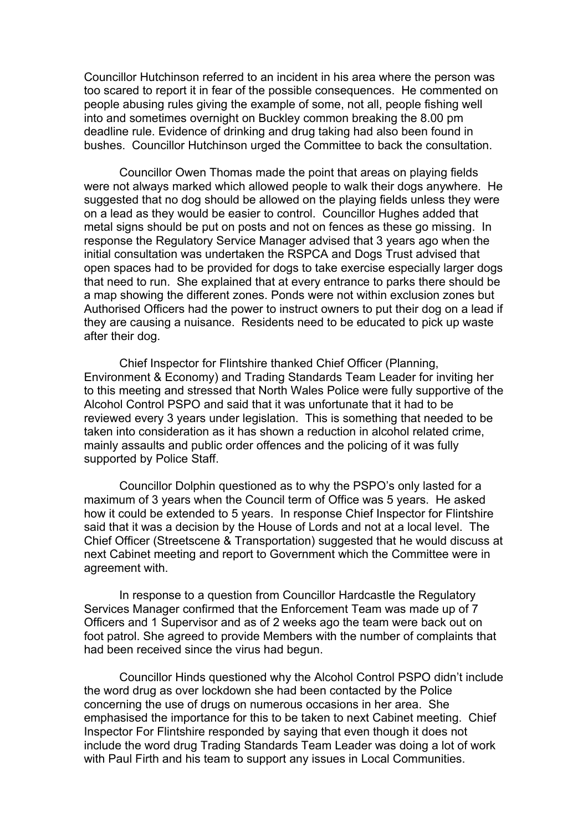Councillor Hutchinson referred to an incident in his area where the person was too scared to report it in fear of the possible consequences. He commented on people abusing rules giving the example of some, not all, people fishing well into and sometimes overnight on Buckley common breaking the 8.00 pm deadline rule. Evidence of drinking and drug taking had also been found in bushes. Councillor Hutchinson urged the Committee to back the consultation.

Councillor Owen Thomas made the point that areas on playing fields were not always marked which allowed people to walk their dogs anywhere. He suggested that no dog should be allowed on the playing fields unless they were on a lead as they would be easier to control. Councillor Hughes added that metal signs should be put on posts and not on fences as these go missing. In response the Regulatory Service Manager advised that 3 years ago when the initial consultation was undertaken the RSPCA and Dogs Trust advised that open spaces had to be provided for dogs to take exercise especially larger dogs that need to run. She explained that at every entrance to parks there should be a map showing the different zones. Ponds were not within exclusion zones but Authorised Officers had the power to instruct owners to put their dog on a lead if they are causing a nuisance. Residents need to be educated to pick up waste after their dog.

Chief Inspector for Flintshire thanked Chief Officer (Planning, Environment & Economy) and Trading Standards Team Leader for inviting her to this meeting and stressed that North Wales Police were fully supportive of the Alcohol Control PSPO and said that it was unfortunate that it had to be reviewed every 3 years under legislation. This is something that needed to be taken into consideration as it has shown a reduction in alcohol related crime, mainly assaults and public order offences and the policing of it was fully supported by Police Staff.

Councillor Dolphin questioned as to why the PSPO's only lasted for a maximum of 3 years when the Council term of Office was 5 years. He asked how it could be extended to 5 years. In response Chief Inspector for Flintshire said that it was a decision by the House of Lords and not at a local level. The Chief Officer (Streetscene & Transportation) suggested that he would discuss at next Cabinet meeting and report to Government which the Committee were in agreement with.

In response to a question from Councillor Hardcastle the Regulatory Services Manager confirmed that the Enforcement Team was made up of 7 Officers and 1 Supervisor and as of 2 weeks ago the team were back out on foot patrol. She agreed to provide Members with the number of complaints that had been received since the virus had begun.

Councillor Hinds questioned why the Alcohol Control PSPO didn't include the word drug as over lockdown she had been contacted by the Police concerning the use of drugs on numerous occasions in her area. She emphasised the importance for this to be taken to next Cabinet meeting. Chief Inspector For Flintshire responded by saying that even though it does not include the word drug Trading Standards Team Leader was doing a lot of work with Paul Firth and his team to support any issues in Local Communities.